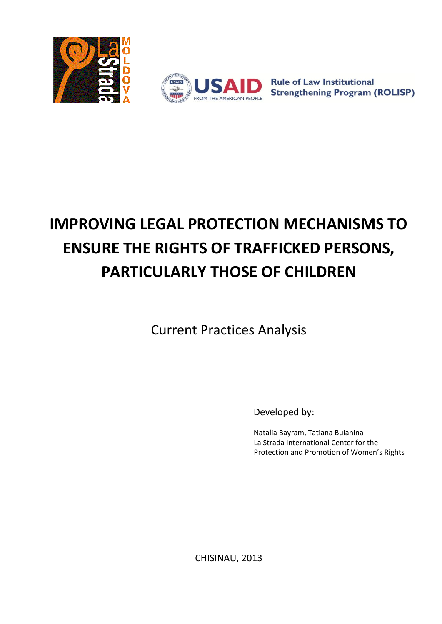



**Rule of Law Institutional Strengthening Program (ROLISP)** 

# **IMPROVING LEGAL PROTECTION MECHANISMS TO ENSURE THE RIGHTS OF TRAFFICKED PERSONS, PARTICULARLY THOSE OF CHILDREN**

Current Practices Analysis

Developed by:

Natalia Bayram, Tatiana Buianina La Strada International Center for the Protection and Promotion of Women's Rights

CHISINAU, 2013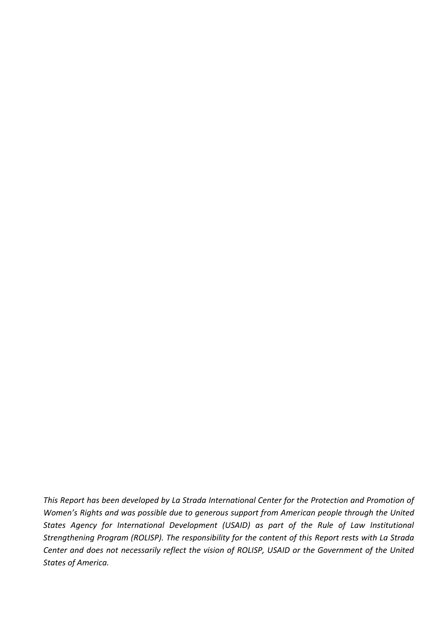*This Report has been developed by La Strada International Center for the Protection and Promotion of Women's Rights and was possible due to generous support from American people through the United States Agency for International Development (USAID) as part of the Rule of Law Institutional Strengthening Program (ROLISP). The responsibility for the content of this Report rests with La Strada Center and does not necessarily reflect the vision of ROLISP, USAID or the Government of the United States of America.*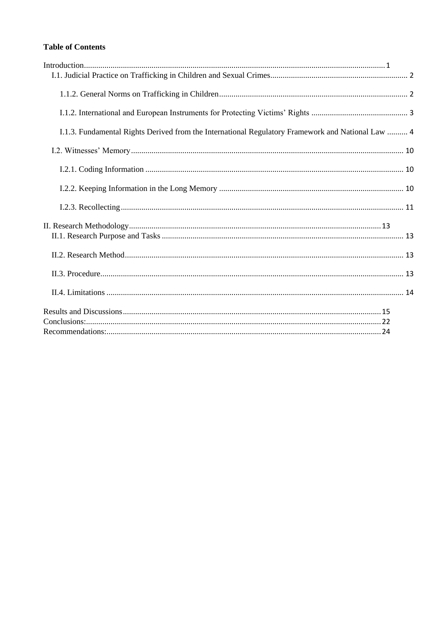# **Table of Contents**

| I.1.3. Fundamental Rights Derived from the International Regulatory Framework and National Law  4 |  |
|---------------------------------------------------------------------------------------------------|--|
|                                                                                                   |  |
|                                                                                                   |  |
|                                                                                                   |  |
|                                                                                                   |  |
|                                                                                                   |  |
|                                                                                                   |  |
|                                                                                                   |  |
|                                                                                                   |  |
|                                                                                                   |  |
|                                                                                                   |  |
|                                                                                                   |  |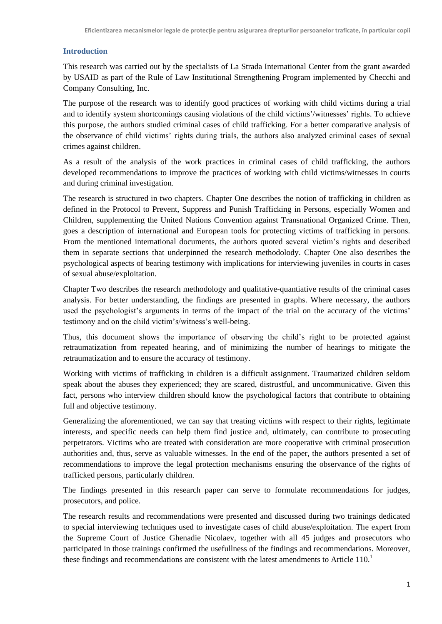## <span id="page-3-0"></span>**Introduction**

This research was carried out by the specialists of La Strada International Center from the grant awarded by USAID as part of the Rule of Law Institutional Strengthening Program implemented by Checchi and Company Consulting, Inc.

The purpose of the research was to identify good practices of working with child victims during a trial and to identify system shortcomings causing violations of the child victims'/witnesses' rights. To achieve this purpose, the authors studied criminal cases of child trafficking. For a better comparative analysis of the observance of child victims' rights during trials, the authors also analyzed criminal cases of sexual crimes against children.

As a result of the analysis of the work practices in criminal cases of child trafficking, the authors developed recommendations to improve the practices of working with child victims/witnesses in courts and during criminal investigation.

The research is structured in two chapters. Chapter One describes the notion of trafficking in children as defined in the Protocol to Prevent, Suppress and Punish Trafficking in Persons, especially Women and Children, supplementing the United Nations Convention against Transnational Organized Crime. Then, goes a description of international and European tools for protecting victims of trafficking in persons. From the mentioned international documents, the authors quoted several victim's rights and described them in separate sections that underpinned the research methodolody. Chapter One also describes the psychological aspects of bearing testimony with implications for interviewing juveniles in courts in cases of sexual abuse/exploitation.

Chapter Two describes the research methodology and qualitative-quantiative results of the criminal cases analysis. For better understanding, the findings are presented in graphs. Where necessary, the authors used the psychologist's arguments in terms of the impact of the trial on the accuracy of the victims' testimony and on the child victim's/witness's well-being.

Thus, this document shows the importance of observing the child's right to be protected against retraumatization from repeated hearing, and of minimizing the number of hearings to mitigate the retraumatization and to ensure the accuracy of testimony.

Working with victims of trafficking in children is a difficult assignment. Traumatized children seldom speak about the abuses they experienced; they are scared, distrustful, and uncommunicative. Given this fact, persons who interview children should know the psychological factors that contribute to obtaining full and objective testimony.

Generalizing the aforementioned, we can say that treating victims with respect to their rights, legitimate interests, and specific needs can help them find justice and, ultimately, can contribute to prosecuting perpetrators. Victims who are treated with consideration are more cooperative with criminal prosecution authorities and, thus, serve as valuable witnesses. In the end of the paper, the authors presented a set of recommendations to improve the legal protection mechanisms ensuring the observance of the rights of trafficked persons, particularly children.

The findings presented in this research paper can serve to formulate recommendations for judges, prosecutors, and police.

The research results and recommendations were presented and discussed during two trainings dedicated to special interviewing techniques used to investigate cases of child abuse/exploitation. The expert from the Supreme Court of Justice Ghenadie Nicolaev, together with all 45 judges and prosecutors who participated in those trainings confirmed the usefullness of the findings and recommendations. Moreover, these findings and recommendations are consistent with the latest amendments to Article  $110<sup>1</sup>$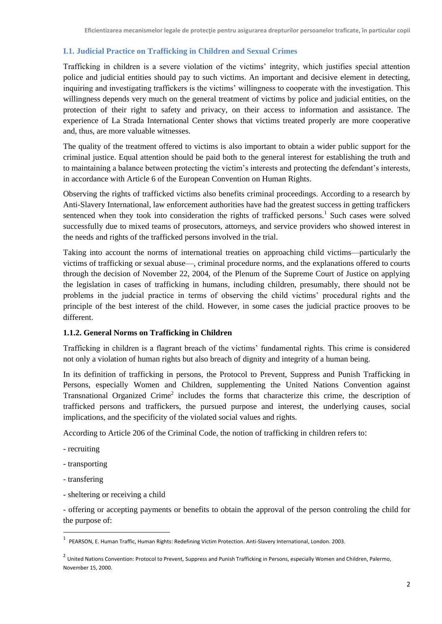## <span id="page-4-0"></span>**I.1. Judicial Practice on Trafficking in Children and Sexual Crimes**

Trafficking in children is a severe violation of the victims' integrity, which justifies special attention police and judicial entities should pay to such victims. An important and decisive element in detecting, inquiring and investigating traffickers is the victims' willingness to cooperate with the investigation. This willingness depends very much on the general treatment of victims by police and judicial entities, on the protection of their right to safety and privacy, on their access to information and assistance. The experience of La Strada International Center shows that victims treated properly are more cooperative and, thus, are more valuable witnesses.

The quality of the treatment offered to victims is also important to obtain a wider public support for the criminal justice. Equal attention should be paid both to the general interest for establishing the truth and to maintaining a balance between protecting the victim's interests and protecting the defendant's interests, in accordance with Article 6 of the European Convention on Human Rights.

Observing the rights of trafficked victims also benefits criminal proceedings. According to a research by Anti-Slavery International, law enforcement authorities have had the greatest success in getting traffickers sentenced when they took into consideration the rights of trafficked persons.<sup>1</sup> Such cases were solved successfully due to mixed teams of prosecutors, attorneys, and service providers who showed interest in the needs and rights of the trafficked persons involved in the trial.

Taking into account the norms of international treaties on approaching child victims—particularly the victims of trafficking or sexual abuse—, criminal procedure norms, and the explanations offered to courts through the decision of November 22, 2004, of the Plenum of the Supreme Court of Justice on applying the legislation in cases of trafficking in humans, including children, presumably, there should not be problems in the judcial practice in terms of observing the child victims' procedural rights and the principle of the best interest of the child. However, in some cases the judicial practice prooves to be different.

#### <span id="page-4-1"></span>**1.1.2. General Norms on Trafficking in Children**

Trafficking in children is a flagrant breach of the victims' fundamental rights. This crime is considered not only a violation of human rights but also breach of dignity and integrity of a human being.

In its definition of trafficking in persons, the Protocol to Prevent, Suppress and Punish Trafficking in Persons, especially Women and Children, supplementing the United Nations Convention against Transnational Organized Crime<sup>2</sup> includes the forms that characterize this crime, the description of trafficked persons and traffickers, the pursued purpose and interest, the underlying causes, social implications, and the specificity of the violated social values and rights.

According to Article 206 of the Criminal Code, the notion of trafficking in children refers to:

- recruiting
- transporting
- transfering
- sheltering or receiving a child

- offering or accepting payments or benefits to obtain the approval of the person controling the child for the purpose of:

 1 PEARSON, E. Human Traffic, Human Rights: Redefining Victim Protection. Anti-Slavery International, London. 2003.

<sup>&</sup>lt;sup>2</sup> United Nations Convention: Protocol to Prevent, Suppress and Punish Trafficking in Persons, especially Women and Children, Palermo, November 15, 2000.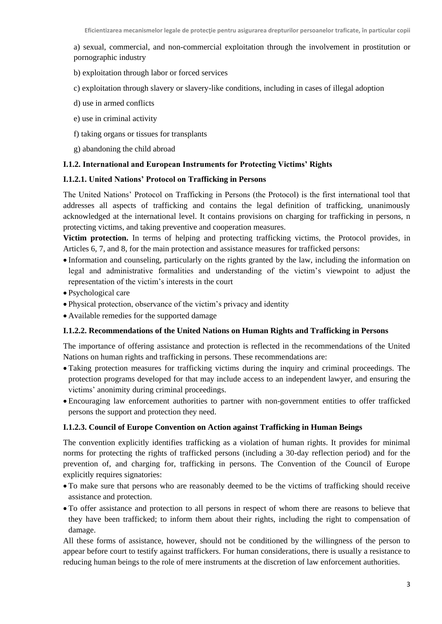a) sexual, commercial, and non-commercial exploitation through the involvement in prostitution or pornographic industry

- b) exploitation through labor or forced services
- c) exploitation through slavery or slavery-like conditions, including in cases of illegal adoption
- d) use in armed conflicts
- e) use in criminal activity
- f) taking organs or tissues for transplants
- g) abandoning the child abroad

## <span id="page-5-0"></span>**I.1.2. International and European Instruments for Protecting Victims' Rights**

#### **I.1.2.1. United Nations' Protocol on Trafficking in Persons**

The United Nations' Protocol on Trafficking in Persons (the Protocol) is the first international tool that addresses all aspects of trafficking and contains the legal definition of trafficking, unanimously acknowledged at the international level. It contains provisions on charging for trafficking in persons, n protecting victims, and taking preventive and cooperation measures.

**Victim protection.** In terms of helping and protecting trafficking victims, the Protocol provides, in Articles 6, 7, and 8, for the main protection and assistance measures for trafficked persons:

- Information and counseling, particularly on the rights granted by the law, including the information on legal and administrative formalities and understanding of the victim's viewpoint to adjust the representation of the victim's interests in the court
- Psychological care
- Physical protection, observance of the victim's privacy and identity
- Available remedies for the supported damage

#### **I.1.2.2. Recommendations of the United Nations on Human Rights and Trafficking in Persons**

The importance of offering assistance and protection is reflected in the recommendations of the United Nations on human rights and trafficking in persons. These recommendations are:

- Taking protection measures for trafficking victims during the inquiry and criminal proceedings. The protection programs developed for that may include access to an independent lawyer, and ensuring the victims' anonimity during criminal proceedings.
- Encouraging law enforcement authorities to partner with non-government entities to offer trafficked persons the support and protection they need.

#### **I.1.2.3. Council of Europe Convention on Action against Trafficking in Human Beings**

The convention explicitly identifies trafficking as a violation of human rights. It provides for minimal norms for protecting the rights of trafficked persons (including a 30-day reflection period) and for the prevention of, and charging for, trafficking in persons. The Convention of the Council of Europe explicitly requires signatories:

- To make sure that persons who are reasonably deemed to be the victims of trafficking should receive assistance and protection.
- To offer assistance and protection to all persons in respect of whom there are reasons to believe that they have been trafficked; to inform them about their rights, including the right to compensation of damage.

All these forms of assistance, however, should not be conditioned by the willingness of the person to appear before court to testify against traffickers. For human considerations, there is usually a resistance to reducing human beings to the role of mere instruments at the discretion of law enforcement authorities.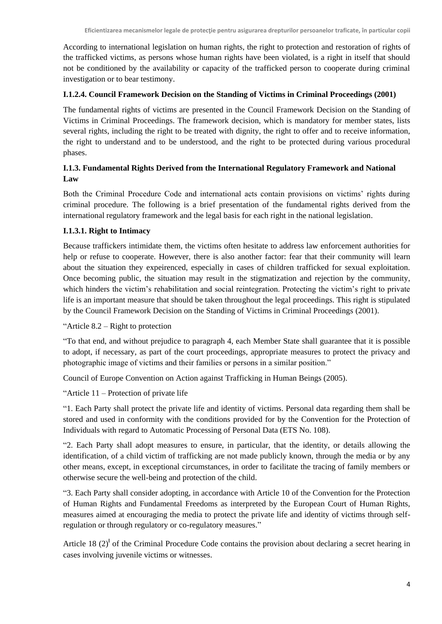According to international legislation on human rights, the right to protection and restoration of rights of the trafficked victims, as persons whose human rights have been violated, is a right in itself that should not be conditioned by the availability or capacity of the trafficked person to cooperate during criminal investigation or to bear testimony.

## **I.1.2.4. Council Framework Decision on the Standing of Victims in Criminal Proceedings (2001)**

The fundamental rights of victims are presented in the Council Framework Decision on the Standing of Victims in Criminal Proceedings. The framework decision, which is mandatory for member states, lists several rights, including the right to be treated with dignity, the right to offer and to receive information, the right to understand and to be understood, and the right to be protected during various procedural phases.

## <span id="page-6-0"></span>**I.1.3. Fundamental Rights Derived from the International Regulatory Framework and National Law**

Both the Criminal Procedure Code and international acts contain provisions on victims' rights during criminal procedure. The following is a brief presentation of the fundamental rights derived from the international regulatory framework and the legal basis for each right in the national legislation.

## **I.1.3.1. Right to Intimacy**

Because traffickers intimidate them, the victims often hesitate to address law enforcement authorities for help or refuse to cooperate. However, there is also another factor: fear that their community will learn about the situation they expeirenced, especially in cases of children trafficked for sexual exploitation. Once becoming public, the situation may result in the stigmatization and rejection by the community, which hinders the victim's rehabilitation and social reintegration. Protecting the victim's right to private life is an important measure that should be taken throughout the legal proceedings. This right is stipulated by the Council Framework Decision on the Standing of Victims in Criminal Proceedings (2001).

"Article 8.2 – Right to protection

"To that end, and without prejudice to paragraph 4, each Member State shall guarantee that it is possible to adopt, if necessary, as part of the court proceedings, appropriate measures to protect the privacy and photographic image of victims and their families or persons in a similar position."

Council of Europe Convention on Action against Trafficking in Human Beings (2005).

"Article 11 – Protection of private life

"1. Each Party shall protect the private life and identity of victims. Personal data regarding them shall be stored and used in conformity with the conditions provided for by the Convention for the Protection of Individuals with regard to Automatic Processing of Personal Data (ETS No. 108).

"2. Each Party shall adopt measures to ensure, in particular, that the identity, or details allowing the identification, of a child victim of trafficking are not made publicly known, through the media or by any other means, except, in exceptional circumstances, in order to facilitate the tracing of family members or otherwise secure the well-being and protection of the child.

"3. Each Party shall consider adopting, in accordance with Article 10 of the Convention for the Protection of Human Rights and Fundamental Freedoms as interpreted by the European Court of Human Rights, measures aimed at encouraging the media to protect the private life and identity of victims through selfregulation or through regulatory or co-regulatory measures."

Article 18  $(2)^\text{I}$  of the Criminal Procedure Code contains the provision about declaring a secret hearing in cases involving juvenile victims or witnesses.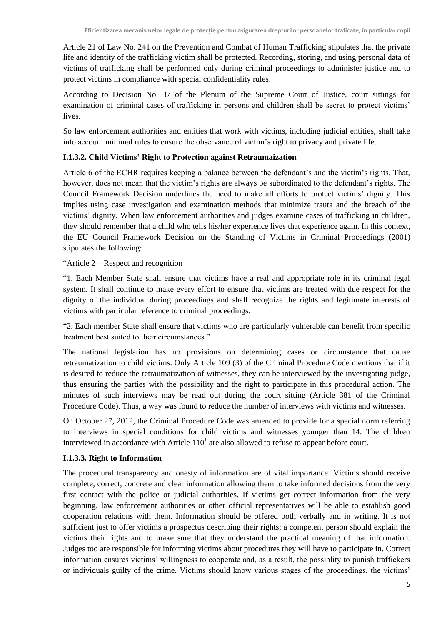Article 21 of Law No. 241 on the Prevention and Combat of Human Trafficking stipulates that the private life and identity of the trafficking victim shall be protected. Recording, storing, and using personal data of victims of trafficking shall be performed only during criminal proceedings to administer justice and to protect victims in compliance with special confidentiality rules.

According to Decision No. 37 of the Plenum of the Supreme Court of Justice, court sittings for examination of criminal cases of trafficking in persons and children shall be secret to protect victims' lives.

So law enforcement authorities and entities that work with victims, including judicial entities, shall take into account minimal rules to ensure the observance of victim's right to privacy and private life.

## **I.1.3.2. Child Victims' Right to Protection against Retraumaization**

Article 6 of the ECHR requires keeping a balance between the defendant's and the victim's rights. That, however, does not mean that the victim's rights are always be subordinated to the defendant's rights. The Council Framework Decision underlines the need to make all efforts to protect victims' dignity. This implies using case investigation and examination methods that minimize trauta and the breach of the victims' dignity. When law enforcement authorities and judges examine cases of trafficking in children, they should remember that a child who tells his/her experience lives that experience again. In this context, the EU Council Framework Decision on the Standing of Victims in Criminal Proceedings (2001) stipulates the following:

## "Article 2 – Respect and recognition

"1. Each Member State shall ensure that victims have a real and appropriate role in its criminal legal system. It shall continue to make every effort to ensure that victims are treated with due respect for the dignity of the individual during proceedings and shall recognize the rights and legitimate interests of victims with particular reference to criminal proceedings.

"2. Each member State shall ensure that victims who are particularly vulnerable can benefit from specific treatment best suited to their circumstances."

The national legislation has no provisions on determining cases or circumstance that cause retraumatization to child victims. Only Article 109 (3) of the Criminal Procedure Code mentions that if it is desired to reduce the retraumatization of witnesses, they can be interviewed by the investigating judge, thus ensuring the parties with the possibility and the right to participate in this procedural action. The minutes of such interviews may be read out during the court sitting (Article 381 of the Criminal Procedure Code). Thus, a way was found to reduce the number of interviews with victims and witnesses.

On October 27, 2012, the Criminal Procedure Code was amended to provide for a special norm referring to interviews in special conditions for child victims and witnesses younger than 14. The children interviewed in accordance with Article  $110<sup>1</sup>$  are also allowed to refuse to appear before court.

## **I.1.3.3. Right to Information**

The procedural transparency and onesty of information are of vital importance. Victims should receive complete, correct, concrete and clear information allowing them to take informed decisions from the very first contact with the police or judicial authorities. If victims get correct information from the very beginning, law enforcement authorities or other official representatives will be able to establish good cooperation relations with them. Information should be offered both verbally and in writing. It is not sufficient just to offer victims a prospectus describing their rights; a competent person should explain the victims their rights and to make sure that they understand the practical meaning of that information. Judges too are responsible for informing victims about procedures they will have to participate in. Correct information ensures victims' willingness to cooperate and, as a result, the possiblity to punish traffickers or individuals guilty of the crime. Victims should know various stages of the proceedings, the victims'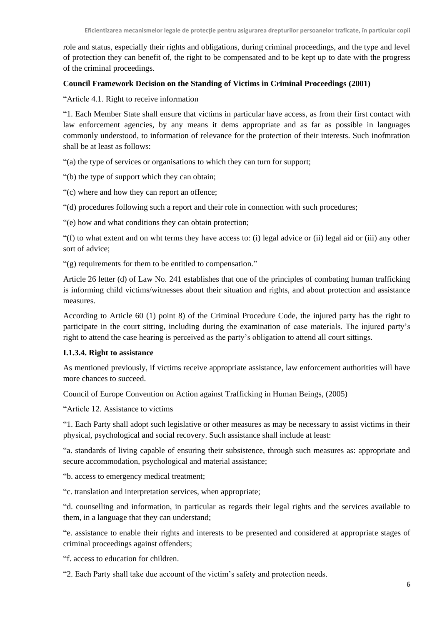role and status, especially their rights and obligations, during criminal proceedings, and the type and level of protection they can benefit of, the right to be compensated and to be kept up to date with the progress of the criminal proceedings.

## **Council Framework Decision on the Standing of Victims in Criminal Proceedings (2001)**

"Article 4.1. Right to receive information

"1. Each Member State shall ensure that victims in particular have access, as from their first contact with law enforcement agencies, by any means it dems appropriate and as far as possible in languages commonly understood, to information of relevance for the protection of their interests. Such inofmration shall be at least as follows:

"(a) the type of services or organisations to which they can turn for support;

"(b) the type of support which they can obtain;

"(c) where and how they can report an offence;

"(d) procedures following such a report and their role in connection with such procedures;

"(e) how and what conditions they can obtain protection;

"(f) to what extent and on wht terms they have access to: (i) legal advice or (ii) legal aid or (iii) any other sort of advice;

"(g) requirements for them to be entitled to compensation."

Article 26 letter (d) of Law No. 241 establishes that one of the principles of combating human trafficking is informing child victims/witnesses about their situation and rights, and about protection and assistance measures.

According to Article 60 (1) point 8) of the Criminal Procedure Code, the injured party has the right to participate in the court sitting, including during the examination of case materials. The injured party's right to attend the case hearing is perceived as the party's obligation to attend all court sittings.

#### **I.1.3.4. Right to assistance**

As mentioned previously, if victims receive appropriate assistance, law enforcement authorities will have more chances to succeed.

Council of Europe Convention on Action against Trafficking in Human Beings, (2005)

"Article 12. Assistance to victims

"1. Each Party shall adopt such legislative or other measures as may be necessary to assist victims in their physical, psychological and social recovery. Such assistance shall include at least:

"a. standards of living capable of ensuring their subsistence, through such measures as: appropriate and secure accommodation, psychological and material assistance;

"b. access to emergency medical treatment;

"c. translation and interpretation services, when appropriate;

"d. counselling and information, in particular as regards their legal rights and the services available to them, in a language that they can understand;

"e. assistance to enable their rights and interests to be presented and considered at appropriate stages of criminal proceedings against offenders;

"f. access to education for children.

"2. Each Party shall take due account of the victim's safety and protection needs.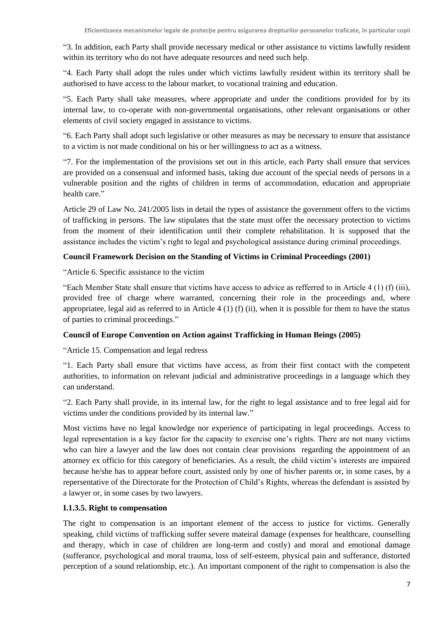"3. In addition, each Party shall provide necessary medical or other assistance to victims lawfully resident within its territory who do not have adequate resources and need such help.

"4. Each Party shall adopt the rules under which victims lawfully resident within its territory shall be authorised to have access to the labour market, to vocational training and education.

"5. Each Party shall take measures, where appropriate and under the conditions provided for by its internal law, to co-operate with non-governmental organisations, other relevant organisations or other elements of civil society engaged in assistance to victims.

"6. Each Party shall adopt such legislative or other measures as may be necessary to ensure that assistance to a victim is not made conditional on his or her willingness to act as a witness.

"7. For the implementation of the provisions set out in this article, each Party shall ensure that services are provided on a consensual and informed basis, taking due account of the special needs of persons in a vulnerable position and the rights of children in terms of accommodation, education and appropriate health care."

Article 29 of Law No. 241/2005 lists in detail the types of assistance the government offers to the victims of trafficking in persons. The law stipulates that the state must offer the necessary protection to victims from the moment of their identification until their complete rehabilitation. It is supposed that the assistance includes the victim's right to legal and psychological assistance during criminal proceedings.

## **Council Framework Decision on the Standing of Victims in Criminal Proceedings (2001)**

"Article 6. Specific assistance to the victim

"Each Member State shall ensure that victims have access to advice as refferred to in Article 4 (1) (f) (iii), provided free of charge where warranted, concerning their role in the proceedings and, where appropriatee, legal aid as referred to in Article  $4(1)(f)(ii)$ , when it is possible for them to have the status of parties to criminal proceedings."

## **Council of Europe Convention on Action against Trafficking in Human Beings (2005)**

"Article 15. Compensation and legal redress

"1. Each Party shall ensure that victims have access, as from their first contact with the competent authorities, to information on relevant judicial and administrative proceedings in a language which they can understand.

"2. Each Party shall provide, in its internal law, for the right to legal assistance and to free legal aid for victims under the conditions provided by its internal law."

Most victims have no legal knowledge nor experience of participating in legal proceedings. Access to legal representation is a key factor for the capacity to exercise one's rights. There are not many victims who can hire a lawyer and the law does not contain clear provisions regarding the appointment of an attorney ex officio for this category of beneficiaries. As a result, the child victim's interests are impaired because he/she has to appear before court, assisted only by one of his/her parents or, in some cases, by a repersentative of the Directorate for the Protection of Child's Rights, whereas the defendant is assisted by a lawyer or, in some cases by two lawyers.

## **I.1.3.5. Right to compensation**

The right to compensation is an important element of the access to justice for victims. Generally speaking, child victims of trafficking suffer severe mateiral damage (expenses for healthcare, counselling and therapy, which in case of children are long-term and costly) and moral and emotional damage (sufferance, psychological and moral trauma, loss of self-esteem, physical pain and sufferance, distorted perception of a sound relationship, etc.). An important component of the right to compensation is also the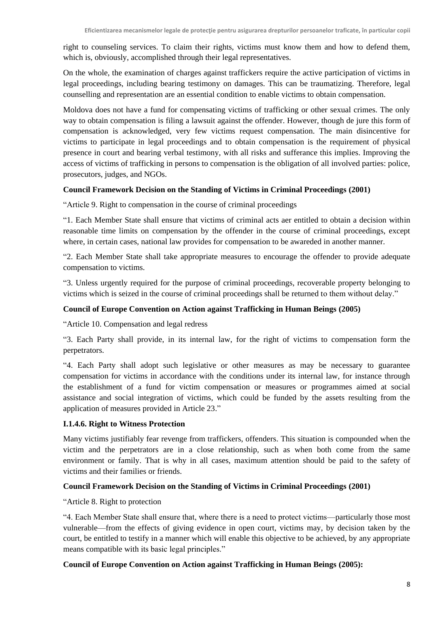right to counseling services. To claim their rights, victims must know them and how to defend them, which is, obviously, accomplished through their legal representatives.

On the whole, the examination of charges against traffickers require the active participation of victims in legal proceedings, including bearing testimony on damages. This can be traumatizing. Therefore, legal counselling and representation are an essential condition to enable victims to obtain compensation.

Moldova does not have a fund for compensating victims of trafficking or other sexual crimes. The only way to obtain compensation is filing a lawsuit against the offender. However, though de jure this form of compensation is acknowledged, very few victims request compensation. The main disincentive for victims to participate in legal proceedings and to obtain compensation is the requirement of physical presence in court and bearing verbal testimony, with all risks and sufferance this implies. Improving the access of victims of trafficking in persons to compensation is the obligation of all involved parties: police, prosecutors, judges, and NGOs.

## **Council Framework Decision on the Standing of Victims in Criminal Proceedings (2001)**

"Article 9. Right to compensation in the course of criminal proceedings

"1. Each Member State shall ensure that victims of criminal acts aer entitled to obtain a decision within reasonable time limits on compensation by the offender in the course of criminal proceedings, except where, in certain cases, national law provides for compensation to be awareded in another manner.

"2. Each Member State shall take appropriate measures to encourage the offender to provide adequate compensation to victims.

"3. Unless urgently required for the purpose of criminal proceedings, recoverable property belonging to victims which is seized in the course of criminal proceedings shall be returned to them without delay."

## **Council of Europe Convention on Action against Trafficking in Human Beings (2005)**

"Article 10. Compensation and legal redress

"3. Each Party shall provide, in its internal law, for the right of victims to compensation form the perpetrators.

"4. Each Party shall adopt such legislative or other measures as may be necessary to guarantee compensation for victims in accordance with the conditions under its internal law, for instance through the establishment of a fund for victim compensation or measures or programmes aimed at social assistance and social integration of victims, which could be funded by the assets resulting from the application of measures provided in Article 23."

## **I.1.4.6. Right to Witness Protection**

Many victims justifiably fear revenge from traffickers, offenders. This situation is compounded when the victim and the perpetrators are in a close relationship, such as when both come from the same environment or family. That is why in all cases, maximum attention should be paid to the safety of victims and their families or friends.

## **Council Framework Decision on the Standing of Victims in Criminal Proceedings (2001)**

"Article 8. Right to protection

"4. Each Member State shall ensure that, where there is a need to protect victims—particularly those most vulnerable—from the effects of giving evidence in open court, victims may, by decision taken by the court, be entitled to testify in a manner which will enable this objective to be achieved, by any appropriate means compatible with its basic legal principles."

## **Council of Europe Convention on Action against Trafficking in Human Beings (2005):**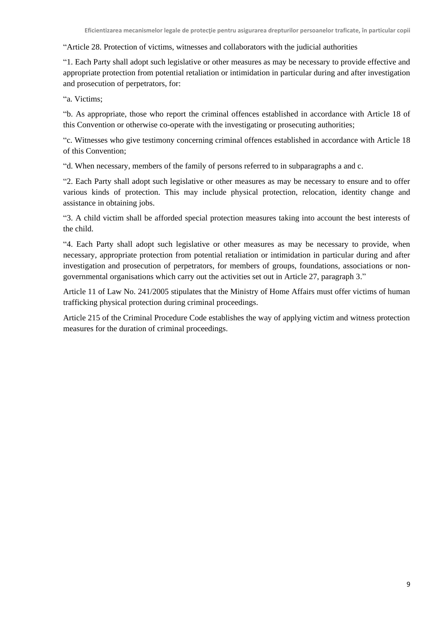"Article 28. Protection of victims, witnesses and collaborators with the judicial authorities

"1. Each Party shall adopt such legislative or other measures as may be necessary to provide effective and appropriate protection from potential retaliation or intimidation in particular during and after investigation and prosecution of perpetrators, for:

"a. Victims;

"b. As appropriate, those who report the criminal offences established in accordance with Article 18 of this Convention or otherwise co-operate with the investigating or prosecuting authorities;

"c. Witnesses who give testimony concerning criminal offences established in accordance with Article 18 of this Convention;

"d. When necessary, members of the family of persons referred to in subparagraphs a and c.

"2. Each Party shall adopt such legislative or other measures as may be necessary to ensure and to offer various kinds of protection. This may include physical protection, relocation, identity change and assistance in obtaining jobs.

"3. A child victim shall be afforded special protection measures taking into account the best interests of the child.

"4. Each Party shall adopt such legislative or other measures as may be necessary to provide, when necessary, appropriate protection from potential retaliation or intimidation in particular during and after investigation and prosecution of perpetrators, for members of groups, foundations, associations or nongovernmental organisations which carry out the activities set out in Article 27, paragraph 3."

Article 11 of Law No. 241/2005 stipulates that the Ministry of Home Affairs must offer victims of human trafficking physical protection during criminal proceedings.

Article 215 of the Criminal Procedure Code establishes the way of applying victim and witness protection measures for the duration of criminal proceedings.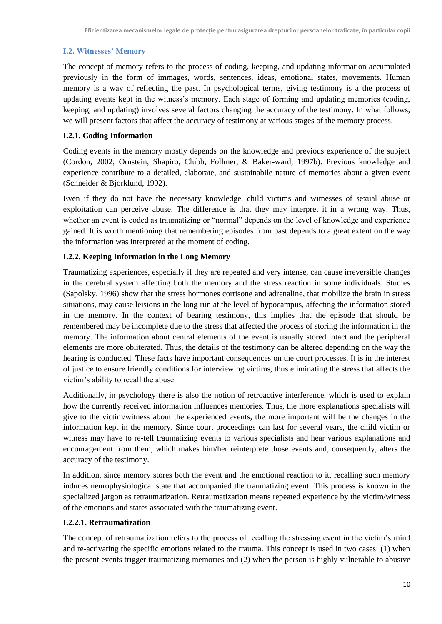## <span id="page-12-0"></span>**I.2. Witnesses' Memory**

The concept of memory refers to the process of coding, keeping, and updating information accumulated previously in the form of immages, words, sentences, ideas, emotional states, movements. Human memory is a way of reflecting the past. In psychological terms, giving testimony is a the process of updating events kept in the witness's memory. Each stage of forming and updating memories (coding, keeping, and updating) involves several factors changing the accuracy of the testimony. In what follows, we will present factors that affect the accuracy of testimony at various stages of the memory process.

## <span id="page-12-1"></span>**I.2.1. Coding Information**

Coding events in the memory mostly depends on the knowledge and previous experience of the subject (Cordon, 2002; Ornstein, Shapiro, Clubb, Follmer, & Baker-ward, 1997b). Previous knowledge and experience contribute to a detailed, elaborate, and sustainabile nature of memories about a given event (Schneider & Bjorklund, 1992).

Even if they do not have the necessary knowledge, child victims and witnesses of sexual abuse or exploitation can perceive abuse. The difference is that they may interpret it in a wrong way. Thus, whether an event is coded as traumatizing or "normal" depends on the level of knowledge and experience gained. It is worth mentioning that remembering episodes from past depends to a great extent on the way the information was interpreted at the moment of coding.

## <span id="page-12-2"></span>**I.2.2. Keeping Information in the Long Memory**

Traumatizing experiences, especially if they are repeated and very intense, can cause irreversible changes in the cerebral system affecting both the memory and the stress reaction in some individuals. Studies (Sapolsky, 1996) show that the stress hormones cortisone and adrenaline, that mobilize the brain in stress situations, may cause leisions in the long run at the level of hypocampus, affecting the information stored in the memory. In the context of bearing testimony, this implies that the episode that should be remembered may be incomplete due to the stress that affected the process of storing the information in the memory. The information about central elements of the event is usually stored intact and the peripheral elements are more obliterated. Thus, the details of the testimony can be altered depending on the way the hearing is conducted. These facts have important consequences on the court processes. It is in the interest of justice to ensure friendly conditions for interviewing victims, thus eliminating the stress that affects the victim's ability to recall the abuse.

Additionally, in psychology there is also the notion of retroactive interference, which is used to explain how the currently received information influences memories. Thus, the more explanations specialists will give to the victim/witness about the experienced events, the more important will be the changes in the information kept in the memory. Since court proceedings can last for several years, the child victim or witness may have to re-tell traumatizing events to various specialists and hear various explanations and encouragement from them, which makes him/her reinterprete those events and, consequently, alters the accuracy of the testimony.

In addition, since memory stores both the event and the emotional reaction to it, recalling such memory induces neurophysiological state that accompanied the traumatizing event. This process is known in the specialized jargon as retraumatization. Retraumatization means repeated experience by the victim/witness of the emotions and states associated with the traumatizing event.

#### **I.2.2.1. Retraumatization**

The concept of retraumatization refers to the process of recalling the stressing event in the victim's mind and re-activating the specific emotions related to the trauma. This concept is used in two cases: (1) when the present events trigger traumatizing memories and (2) when the person is highly vulnerable to abusive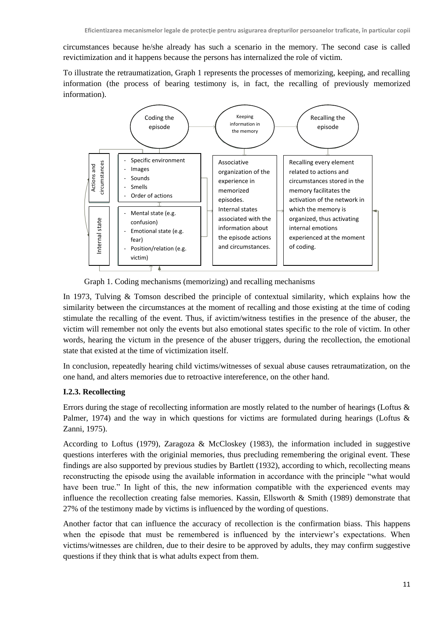circumstances because he/she already has such a scenario in the memory. The second case is called revictimization and it happens because the persons has internalized the role of victim.

To illustrate the retraumatization, Graph 1 represents the processes of memorizing, keeping, and recalling information (the process of bearing testimony is, in fact, the recalling of previously memorized information).



Graph 1. Coding mechanisms (memorizing) and recalling mechanisms

In 1973, Tulving & Tomson described the principle of contextual similarity, which explains how the similarity between the circumstances at the moment of recalling and those existing at the time of coding stimulate the recalling of the event. Thus, if avictim/witness testifies in the presence of the abuser, the victim will remember not only the events but also emotional states specific to the role of victim. In other words, hearing the victum in the presence of the abuser triggers, during the recollection, the emotional state that existed at the time of victimization itself.

In conclusion, repeatedly hearing child victims/witnesses of sexual abuse causes retraumatization, on the one hand, and alters memories due to retroactive intereference, on the other hand.

# <span id="page-13-0"></span>**I.2.3. Recollecting**

Errors during the stage of recollecting information are mostly related to the number of hearings (Loftus & Palmer, 1974) and the way in which questions for victims are formulated during hearings (Loftus  $\&$ Zanni, 1975).

According to Loftus (1979), Zaragoza & McCloskey (1983), the information included in suggestive questions interferes with the originial memories, thus precluding remembering the original event. These findings are also supported by previous studies by Bartlett (1932), according to which, recollecting means reconstructing the episode using the available information in accordance with the principle "what would have been true." In light of this, the new information compatible with the experienced events may influence the recollection creating false memories. Kassin, Ellsworth & Smith (1989) demonstrate that 27% of the testimony made by victims is influenced by the wording of questions.

Another factor that can influence the accuracy of recollection is the confirmation biass. This happens when the episode that must be remembered is influenced by the interviewr's expectations. When victims/witnesses are children, due to their desire to be approved by adults, they may confirm suggestive questions if they think that is what adults expect from them.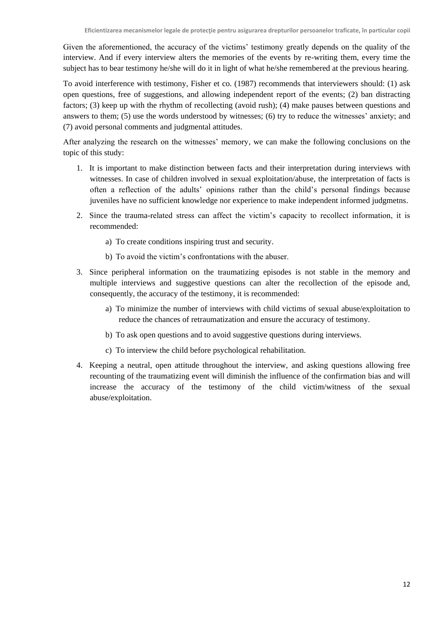Given the aforementioned, the accuracy of the victims' testimony greatly depends on the quality of the interview. And if every interview alters the memories of the events by re-writing them, every time the subject has to bear testimony he/she will do it in light of what he/she remembered at the previous hearing.

To avoid interference with testimony, Fisher et co. (1987) recommends that interviewers should: (1) ask open questions, free of suggestions, and allowing independent report of the events; (2) ban distracting factors; (3) keep up with the rhythm of recollecting (avoid rush); (4) make pauses between questions and answers to them; (5) use the words understood by witnesses; (6) try to reduce the witnesses' anxiety; and (7) avoid personal comments and judgmental attitudes.

After analyzing the research on the witnesses' memory, we can make the following conclusions on the topic of this study:

- 1. It is important to make distinction between facts and their interpretation during interviews with witnesses. In case of children involved in sexual exploitation/abuse, the interpretation of facts is often a reflection of the adults' opinions rather than the child's personal findings because juveniles have no sufficient knowledge nor experience to make independent informed judgmetns.
- 2. Since the trauma-related stress can affect the victim's capacity to recollect information, it is recommended:
	- a) To create conditions inspiring trust and security.
	- b) To avoid the victim's confrontations with the abuser.
- 3. Since peripheral information on the traumatizing episodes is not stable in the memory and multiple interviews and suggestive questions can alter the recollection of the episode and, consequently, the accuracy of the testimony, it is recommended:
	- a) To minimize the number of interviews with child victims of sexual abuse/exploitation to reduce the chances of retraumatization and ensure the accuracy of testimony.
	- b) To ask open questions and to avoid suggestive questions during interviews.
	- c) To interview the child before psychological rehabilitation.
- 4. Keeping a neutral, open attitude throughout the interview, and asking questions allowing free recounting of the traumatizing event will diminish the influence of the confirmation bias and will increase the accuracy of the testimony of the child victim/witness of the sexual abuse/exploitation.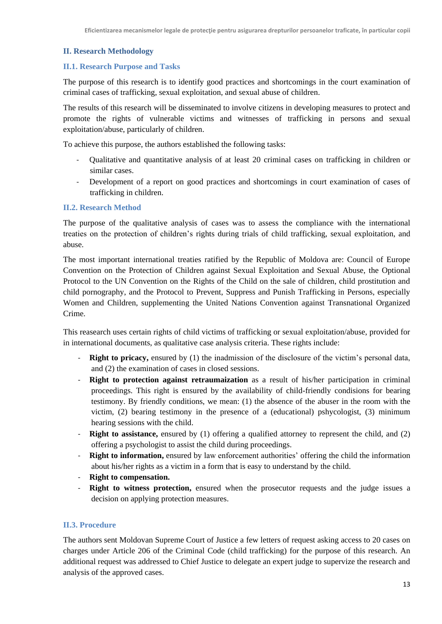#### <span id="page-15-0"></span>**II. Research Methodology**

#### <span id="page-15-1"></span>**II.1. Research Purpose and Tasks**

The purpose of this research is to identify good practices and shortcomings in the court examination of criminal cases of trafficking, sexual exploitation, and sexual abuse of children.

The results of this research will be disseminated to involve citizens in developing measures to protect and promote the rights of vulnerable victims and witnesses of trafficking in persons and sexual exploitation/abuse, particularly of children.

To achieve this purpose, the authors established the following tasks:

- Qualitative and quantitative analysis of at least 20 criminal cases on trafficking in children or similar cases.
- Development of a report on good practices and shortcomings in court examination of cases of trafficking in children.

## <span id="page-15-2"></span>**II.2. Research Method**

The purpose of the qualitative analysis of cases was to assess the compliance with the international treaties on the protection of children's rights during trials of child trafficking, sexual exploitation, and abuse.

The most important international treaties ratified by the Republic of Moldova are: Council of Europe Convention on the Protection of Children against Sexual Exploitation and Sexual Abuse, the Optional Protocol to the UN Convention on the Rights of the Child on the sale of children, child prostitution and child pornography, and the Protocol to Prevent, Suppress and Punish Trafficking in Persons, especially Women and Children, supplementing the United Nations Convention against Transnational Organized Crime.

This reasearch uses certain rights of child victims of trafficking or sexual exploitation/abuse, provided for in international documents, as qualitative case analysis criteria. These rights include:

- **Right to pricacy,** ensured by (1) the inadmission of the disclosure of the victim's personal data, and (2) the examination of cases in closed sessions.
- **Right to protection against retraumaization** as a result of his/her participation in criminal proceedings. This right is ensured by the availability of child-friendly condisions for bearing testimony. By friendly conditions, we mean: (1) the absence of the abuser in the room with the victim, (2) bearing testimony in the presence of a (educational) pshycologist, (3) minimum hearing sessions with the child.
- **Right to assistance,** ensured by (1) offering a qualified attorney to represent the child, and (2) offering a psychologist to assist the child during proceedings.
- **Right to information,** ensured by law enforcement authorities' offering the child the information about his/her rights as a victim in a form that is easy to understand by the child.
- **Right to compensation.**
- **Right to witness protection,** ensured when the prosecutor requests and the judge issues a decision on applying protection measures.

#### <span id="page-15-3"></span>**II.3. Procedure**

The authors sent Moldovan Supreme Court of Justice a few letters of request asking access to 20 cases on charges under Article 206 of the Criminal Code (child trafficking) for the purpose of this research. An additional request was addressed to Chief Justice to delegate an expert judge to supervize the research and analysis of the approved cases.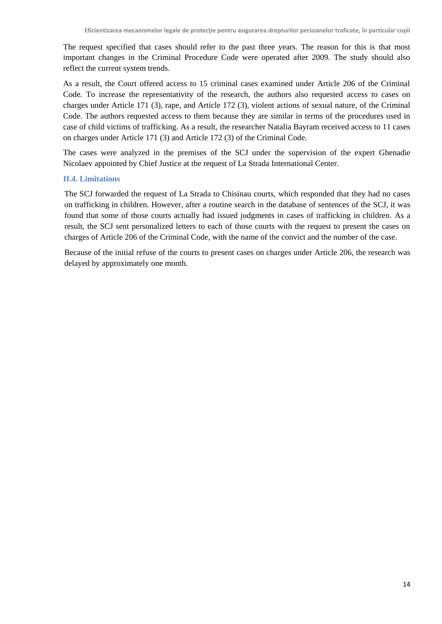The request specified that cases should refer to the past three years. The reason for this is that most important changes in the Criminal Procedure Code were operated after 2009. The study should also reflect the current system trends.

As a result, the Court offered access to 15 criminal cases examined under Article 206 of the Criminal Code. To increase the representativity of the research, the authors also requested access to cases on charges under Article 171 (3), rape, and Article 172 (3), violent actions of sexual nature, of the Criminal Code. The authors requested access to them because they are similar in terms of the procedures used in case of child victims of trafficking. As a result, the researcher Natalia Bayram received access to 11 cases on charges under Article 171 (3) and Article 172 (3) of the Criminal Code.

The cases were analyzed in the premises of the SCJ under the supervision of the expert Ghenadie Nicolaev appointed by Chief Justice at the request of La Strada International Center.

## <span id="page-16-0"></span>**II.4. Limitations**

The SCJ forwarded the request of La Strada to Chisinau courts, which responded that they had no cases on trafficking in children. However, after a routine search in the database of sentences of the SCJ, it was found that some of those courts actually had issued judgments in cases of trafficking in children. As a result, the SCJ sent personalized letters to each of those courts with the request to present the cases on charges of Article 206 of the Criminal Code, with the name of the convict and the number of the case.

Because of the initial refuse of the courts to present cases on charges under Article 206, the research was delayed by approximately one month.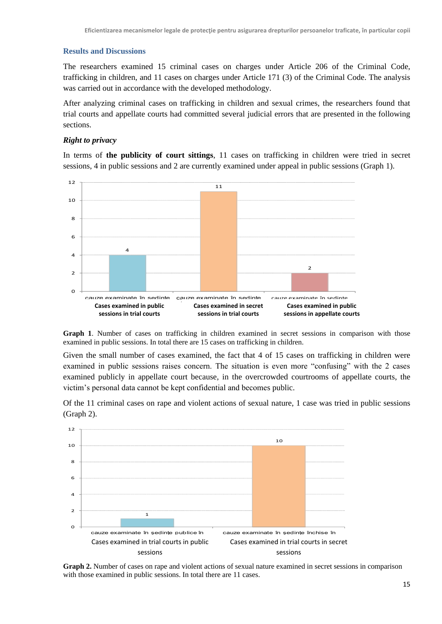#### <span id="page-17-0"></span>**Results and Discussions**

The researchers examined 15 criminal cases on charges under Article 206 of the Criminal Code, trafficking in children, and 11 cases on charges under Article 171 (3) of the Criminal Code. The analysis was carried out in accordance with the developed methodology.

After analyzing criminal cases on trafficking in children and sexual crimes, the researchers found that trial courts and appellate courts had committed several judicial errors that are presented in the following sections.

#### *Right to privacy*

In terms of **the publicity of court sittings**, 11 cases on trafficking in children were tried in secret sessions, 4 in public sessions and 2 are currently examined under appeal in public sessions (Graph 1).



Graph 1. Number of cases on trafficking in children examined in secret sessions in comparison with those examined in public sessions. In total there are 15 cases on trafficking in children.

Given the small number of cases examined, the fact that 4 of 15 cases on trafficking in children were examined in public sessions raises concern. The situation is even more "confusing" with the 2 cases examined publicly in appellate court because, in the overcrowded courtrooms of appellate courts, the victim's personal data cannot be kept confidential and becomes public.

Of the 11 criminal cases on rape and violent actions of sexual nature, 1 case was tried in public sessions (Graph 2).



**Graph 2.** Number of cases on rape and violent actions of sexual nature examined in secret sessions in comparison with those examined in public sessions. In total there are 11 cases.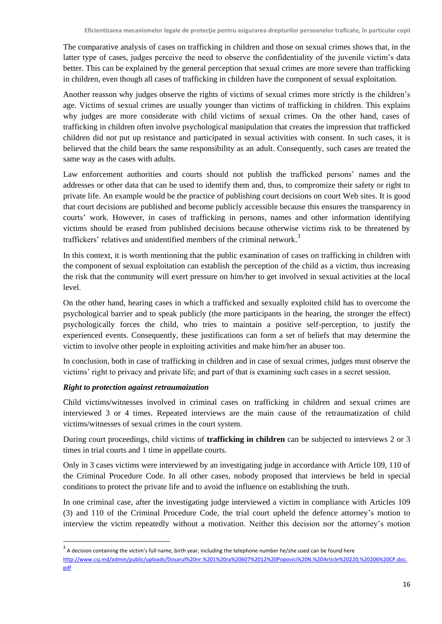The comparative analysis of cases on trafficking in children and those on sexual crimes shows that, in the latter type of cases, judges perceive the need to observe the confidentiality of the juvenile victim's data better. This can be explained by the general perception that sexual crimes are more severe than trafficking in children, even though all cases of trafficking in children have the component of sexual exploitation.

Another reasson why judges observe the rights of victims of sexual crimes more strictly is the children's age. Victims of sexual crimes are usually younger than victims of trafficking in children. This explains why judges are more considerate with child victims of sexual crimes. On the other hand, cases of trafficking in children often involve psychological manipulation that creates the impression that trafficked children did not put up resistance and participated in sexual activities with consent. In such cases, it is believed that the child bears the same responsibility as an adult. Consequently, such cases are treated the same way as the cases with adults.

Law enforcement authorities and courts should not publish the trafficked persons' names and the addresses or other data that can be used to identify them and, thus, to compromize their safety or right to private life. An example would be the practice of publishing court decisions on court Web sites. It is good that court decisions are published and become publicly accessible because this ensures the transparency in courts' work. However, in cases of trafficking in persons, names and other information identifying victims should be erased from published decisions because otherwise victims risk to be threatened by traffickers' relatives and unidentified members of the criminal network.<sup>3</sup>

In this context, it is worth mentioning that the public examination of cases on trafficking in children with the component of sexual exploitation can establish the perception of the child as a victim, thus increasing the risk that the community will exert pressure on him/her to get involved in sexual activities at the local level.

On the other hand, hearing cases in which a trafficked and sexually exploited child has to overcome the psychological barrier and to speak publicly (the more participants in the hearing, the stronger the effect) psychologically forces the child, who tries to maintain a positive self-perception, to justify the experienced events. Consequently, these justifications can form a set of beliefs that may determine the victim to involve other people in exploiting activities and make him/her an abuser too.

In conclusion, both in case of trafficking in children and in case of sexual crimes, judges must observe the victims' right to privacy and private life; and part of that is examining such cases in a secret session.

## *Right to protection against retraumaization*

**.** 

Child victims/witnesses involved in criminal cases on trafficking in children and sexual crimes are interviewed 3 or 4 times. Repeated interviews are the main cause of the retraumatization of child victims/witnesses of sexual crimes in the court system.

During court proceedings, child victims of **trafficking in children** can be subjected to interviews 2 or 3 times in trial courts and 1 time in appellate courts.

Only in 3 cases victims were interviewed by an investigating judge in accordance with Article 109, 110 of the Criminal Procedure Code. In all other cases, nobody proposed that interviews be held in special conditions to protect the private life and to avoid the influence on establishing the truth.

In one criminal case, after the investigating judge interviewed a victim in compliance with Articles 109 (3) and 110 of the Criminal Procedure Code, the trial court upheld the defence attorney's motion to interview the victim repeatedly without a motivation. Neither this decision nor the attorney's motion

 $3$  A decision containing the victim's full name, birth year, including the telephone number he/she used can be found here [http://www.csj.md/admin/public/uploads/Dosarul%20nr.%201%20ra%20607%2012%20Popovici%20N.%20Article%20220,%20206%20CP.doc.](http://www.csj.md/admin/public/uploads/Dosarul%20nr.%201%20ra%20607%2012%20Popovici%20N.%20art.%20220,%20206%20CP.doc.pdf) [pdf](http://www.csj.md/admin/public/uploads/Dosarul%20nr.%201%20ra%20607%2012%20Popovici%20N.%20art.%20220,%20206%20CP.doc.pdf)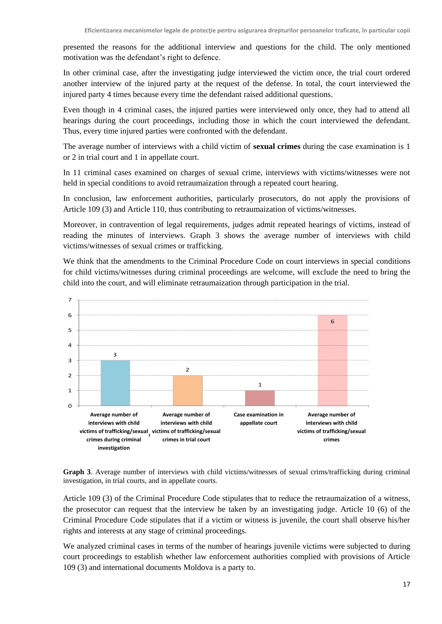presented the reasons for the additional interview and questions for the child. The only mentioned motivation was the defendant's right to defence.

In other criminal case, after the investigating judge interviewed the victim once, the trial court ordered another interview of the injured party at the request of the defense. In total, the court interviewed the injured party 4 times because every time the defendant raised additional questions.

Even though in 4 criminal cases, the injured parties were interviewed only once, they had to attend all hearings during the court proceedings, including those in which the court interviewed the defendant. Thus, every time injured parties were confronted with the defendant.

The average number of interviews with a child victim of **sexual crimes** during the case examination is 1 or 2 in trial court and 1 in appellate court.

In 11 criminal cases examined on charges of sexual crime, interviews with victims/witnesses were not held in special conditions to avoid retraumaization through a repeated court hearing.

In conclusion, law enforcement authorities, particularly prosecutors, do not apply the provisions of Article 109 (3) and Article 110, thus contributing to retraumaization of victims/witnesses.

Moreover, in contravention of legal requirements, judges admit repeated hearings of victims, instead of reading the minutes of interviews. Graph 3 shows the average number of interviews with child victims/witnesses of sexual crimes or trafficking.

We think that the amendments to the Criminal Procedure Code on court interviews in special conditions for child victims/witnesses during criminal proceedings are welcome, will exclude the need to bring the child into the court, and will eliminate retraumaization through participation in the trial.



**Graph 3**. Average number of interviews with child victims/witnesses of sexual crims/trafficking during criminal investigation, in trial courts, and in appellate courts.

Article 109 (3) of the Criminal Procedure Code stipulates that to reduce the retraumaization of a witness, the prosecutor can request that the interview be taken by an investigating judge. Article 10 (6) of the Criminal Procedure Code stipulates that if a victim or witness is juvenile, the court shall observe his/her rights and interests at any stage of criminal proceedings.

We analyzed criminal cases in terms of the number of hearings juvenile victims were subjected to during court proceedings to establish whether law enforcement authorities complied with provisions of Article 109 (3) and international documents Moldova is a party to.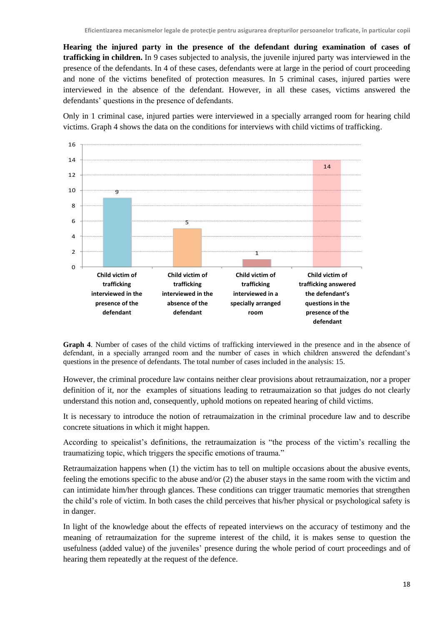**Hearing the injured party in the presence of the defendant during examination of cases of trafficking in children.** In 9 cases subjected to analysis, the juvenile injured party was interviewed in the presence of the defendants. In 4 of these cases, defendants were at large in the period of court proceeding and none of the victims benefited of protection measures. In 5 criminal cases, injured parties were interviewed in the absence of the defendant. However, in all these cases, victims answered the defendants' questions in the presence of defendants.

Only in 1 criminal case, injured parties were interviewed in a specially arranged room for hearing child victims. Graph 4 shows the data on the conditions for interviews with child victims of trafficking.



**Graph 4**. Number of cases of the child victims of trafficking interviewed in the presence and in the absence of defendant, in a specially arranged room and the number of cases in which children answered the defendant's questions in the presence of defendants. The total number of cases included in the analysis: 15.

However, the criminal procedure law contains neither clear provisions about retraumaization, nor a proper definition of it, nor the examples of situations leading to retraumaization so that judges do not clearly understand this notion and, consequently, uphold motions on repeated hearing of child victims.

It is necessary to introduce the notion of retraumaization in the criminal procedure law and to describe concrete situations in which it might happen.

According to speicalist's definitions, the retraumaization is "the process of the victim's recalling the traumatizing topic, which triggers the specific emotions of trauma."

Retraumaization happens when (1) the victim has to tell on multiple occasions about the abusive events, feeling the emotions specific to the abuse and/or (2) the abuser stays in the same room with the victim and can intimidate him/her through glances. These conditions can trigger traumatic memories that strengthen the child's role of victim. In both cases the child perceives that his/her physical or psychological safety is in danger.

In light of the knowledge about the effects of repeated interviews on the accuracy of testimony and the meaning of retraumaization for the supreme interest of the child, it is makes sense to question the usefulness (added value) of the juveniles' presence during the whole period of court proceedings and of hearing them repeatedly at the request of the defence.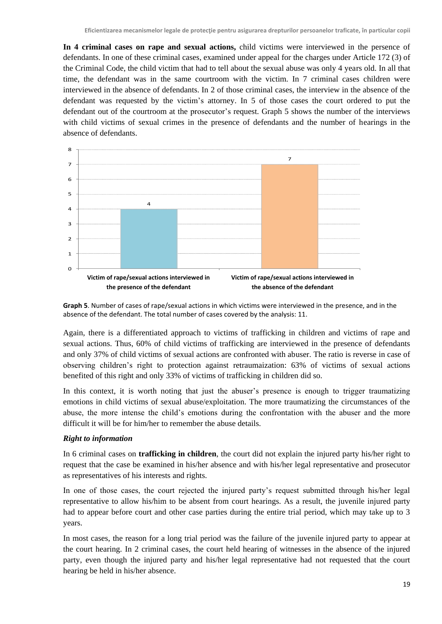**In 4 criminal cases on rape and sexual actions,** child victims were interviewed in the persence of defendants. In one of these criminal cases, examined under appeal for the charges under Article 172 (3) of the Criminal Code, the child victim that had to tell about the sexual abuse was only 4 years old. In all that time, the defendant was in the same courtroom with the victim. In 7 criminal cases children were interviewed in the absence of defendants. In 2 of those criminal cases, the interview in the absence of the defendant was requested by the victim's attorney. In 5 of those cases the court ordered to put the defendant out of the courtroom at the prosecutor's request. Graph 5 shows the number of the interviews with child victims of sexual crimes in the presence of defendants and the number of hearings in the absence of defendants.



**Graph 5**. Number of cases of rape/sexual actions in which victims were interviewed in the presence, and in the absence of the defendant. The total number of cases covered by the analysis: 11.

Again, there is a differentiated approach to victims of trafficking in children and victims of rape and sexual actions. Thus, 60% of child victims of trafficking are interviewed in the presence of defendants and only 37% of child victims of sexual actions are confronted with abuser. The ratio is reverse in case of observing children's right to protection against retraumaization: 63% of victims of sexual actions benefited of this right and only 33% of victims of trafficking in children did so.

In this context, it is worth noting that just the abuser's presence is enough to trigger traumatizing emotions in child victims of sexual abuse/exploitation. The more traumatizing the circumstances of the abuse, the more intense the child's emotions during the confrontation with the abuser and the more difficult it will be for him/her to remember the abuse details.

## *Right to information*

In 6 criminal cases on **trafficking in children**, the court did not explain the injured party his/her right to request that the case be examined in his/her absence and with his/her legal representative and prosecutor as representatives of his interests and rights.

In one of those cases, the court rejected the injured party's request submitted through his/her legal representative to allow his/him to be absent from court hearings. As a result, the juvenile injured party had to appear before court and other case parties during the entire trial period, which may take up to 3 years.

In most cases, the reason for a long trial period was the failure of the juvenile injured party to appear at the court hearing. In 2 criminal cases, the court held hearing of witnesses in the absence of the injured party, even though the injured party and his/her legal representative had not requested that the court hearing be held in his/her absence.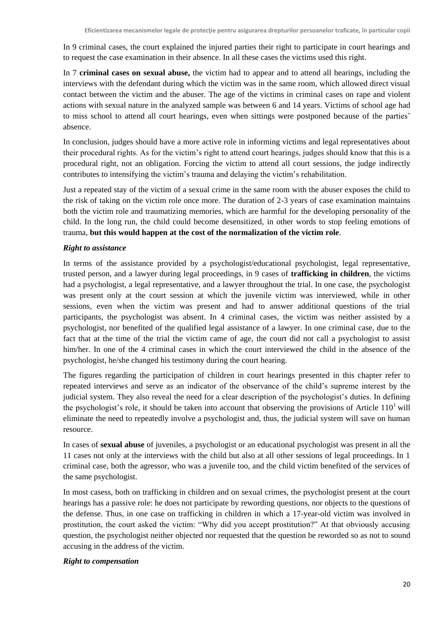In 9 criminal cases, the court explained the injured parties their right to participate in court hearings and to request the case examination in their absence. In all these cases the victims used this right.

In 7 **criminal cases on sexual abuse,** the victim had to appear and to attend all hearings, including the interviews with the defendant during which the victim was in the same room, which allowed direct visual contact between the victim and the abuser. The age of the victims in criminal cases on rape and violent actions with sexual nature in the analyzed sample was between 6 and 14 years. Victims of school age had to miss school to attend all court hearings, even when sittings were postponed because of the parties' absence.

In conclusion, judges should have a more active role in informing victims and legal representatives about their procedural rights. As for the victim's right to attend court hearings, judges should know that this is a procedural right, not an obligation. Forcing the victim to attend all court sessions, the judge indirectly contributes to intensifying the victim's trauma and delaying the victim's rehabilitation.

Just a repeated stay of the victim of a sexual crime in the same room with the abuser exposes the child to the risk of taking on the victim role once more. The duration of 2-3 years of case examination maintains both the victim role and traumatizing memories, which are harmful for the developing personality of the child. In the long run, the child could become desensitized, in other words to stop feeling emotions of trauma, **but this would happen at the cost of the normalization of the victim role**.

## *Right to assistance*

In terms of the assistance provided by a psychologist/educational psychologist, legal representative, trusted person, and a lawyer during legal proceedings, in 9 cases of **trafficking in children**, the victims had a psychologist, a legal representative, and a lawyer throughout the trial. In one case, the psychologist was present only at the court session at which the juvenile victim was interviewed, while in other sessions, even when the victim was present and had to answer additional questions of the trial participants, the psychologist was absent. In 4 criminal cases, the victim was neither assisted by a psychologist, nor benefited of the qualified legal assistance of a lawyer. In one criminal case, due to the fact that at the time of the trial the victim came of age, the court did not call a psychologist to assist him/her. In one of the 4 criminal cases in which the court interviewed the child in the absence of the psychologist, he/she changed his testimony during the court hearing.

The figures regarding the participation of children in court hearings presented in this chapter refer to repeated interviews and serve as an indicator of the observance of the child's supreme interest by the judicial system. They also reveal the need for a clear description of the psychologist's duties. In defining the psychologist's role, it should be taken into account that observing the provisions of Article  $110<sup>1</sup>$  will eliminate the need to repeatedly involve a psychologist and, thus, the judicial system will save on human resource.

In cases of **sexual abuse** of juveniles, a psychologist or an educational psychologist was present in all the 11 cases not only at the interviews with the child but also at all other sessions of legal proceedings. In 1 criminal case, both the agressor, who was a juvenile too, and the child victim benefited of the services of the same psychologist.

In most casess, both on trafficking in children and on sexual crimes, the psychologist present at the court hearings has a passive role: he does not participate by rewording questions, nor objects to the questions of the defense. Thus, in one case on trafficking in children in which a 17-year-old victim was involved in prostitution, the court asked the victim: "Why did you accept prostitution?" At that obviously accusing question, the psychologist neither objected nor requested that the question be reworded so as not to sound accusing in the address of the victim.

#### *Right to compensation*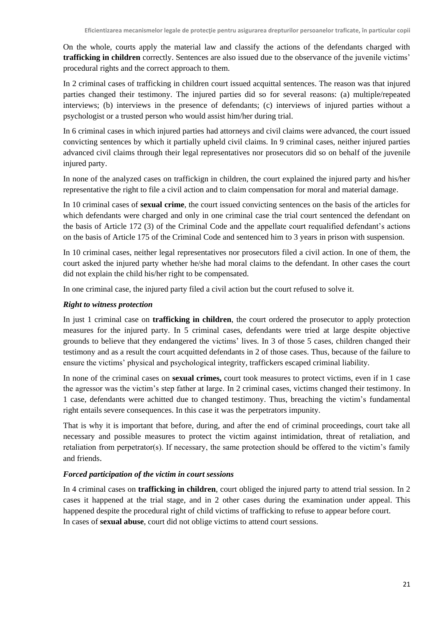On the whole, courts apply the material law and classify the actions of the defendants charged with **trafficking in children** correctly. Sentences are also issued due to the observance of the juvenile victims' procedural rights and the correct approach to them.

In 2 criminal cases of trafficking in children court issued acquittal sentences. The reason was that injured parties changed their testimony. The injured parties did so for several reasons: (a) multiple/repeated interviews; (b) interviews in the presence of defendants; (c) interviews of injured parties without a psychologist or a trusted person who would assist him/her during trial.

In 6 criminal cases in which injured parties had attorneys and civil claims were advanced, the court issued convicting sentences by which it partially upheld civil claims. In 9 criminal cases, neither injured parties advanced civil claims through their legal representatives nor prosecutors did so on behalf of the juvenile injured party.

In none of the analyzed cases on traffickign in children, the court explained the injured party and his/her representative the right to file a civil action and to claim compensation for moral and material damage.

In 10 criminal cases of **sexual crime**, the court issued convicting sentences on the basis of the articles for which defendants were charged and only in one criminal case the trial court sentenced the defendant on the basis of Article 172 (3) of the Criminal Code and the appellate court requalified defendant's actions on the basis of Article 175 of the Criminal Code and sentenced him to 3 years in prison with suspension.

In 10 criminal cases, neither legal representatives nor prosecutors filed a civil action. In one of them, the court asked the injured party whether he/she had moral claims to the defendant. In other cases the court did not explain the child his/her right to be compensated.

In one criminal case, the injured party filed a civil action but the court refused to solve it.

#### *Right to witness protection*

In just 1 criminal case on **trafficking in children**, the court ordered the prosecutor to apply protection measures for the injured party. In 5 criminal cases, defendants were tried at large despite objective grounds to believe that they endangered the victims' lives. In 3 of those 5 cases, children changed their testimony and as a result the court acquitted defendants in 2 of those cases. Thus, because of the failure to ensure the victims' physical and psychological integrity, traffickers escaped criminal liability.

In none of the criminal cases on **sexual crimes,** court took measures to protect victims, even if in 1 case the agressor was the victim's step father at large. In 2 criminal cases, victims changed their testimony. In 1 case, defendants were achitted due to changed testimony. Thus, breaching the victim's fundamental right entails severe consequences. In this case it was the perpetrators impunity.

That is why it is important that before, during, and after the end of criminal proceedings, court take all necessary and possible measures to protect the victim against intimidation, threat of retaliation, and retaliation from perpetrator(s). If necessary, the same protection should be offered to the victim's family and friends.

#### *Forced participation of the victim in court sessions*

In 4 criminal cases on **trafficking in children**, court obliged the injured party to attend trial session. In 2 cases it happened at the trial stage, and in 2 other cases during the examination under appeal. This happened despite the procedural right of child victims of trafficking to refuse to appear before court. In cases of **sexual abuse**, court did not oblige victims to attend court sessions.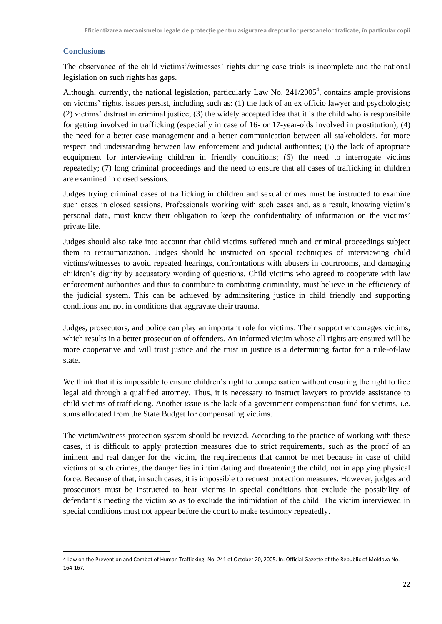## <span id="page-24-0"></span>**Conclusions**

The observance of the child victims'/witnesses' rights during case trials is incomplete and the national legislation on such rights has gaps.

Although, currently, the national legislation, particularly Law No.  $241/2005<sup>4</sup>$ , contains ample provisions on victims' rights, issues persist, including such as: (1) the lack of an ex officio lawyer and psychologist; (2) victims' distrust in criminal justice; (3) the widely accepted idea that it is the child who is responsibile for getting involved in trafficking (especially in case of 16- or 17-year-olds involved in prostitution); (4) the need for a better case management and a better communication between all stakeholders, for more respect and understanding between law enforcement and judicial authorities; (5) the lack of apropriate ecquipment for interviewing children in friendly conditions; (6) the need to interrogate victims repeatedly; (7) long criminal proceedings and the need to ensure that all cases of trafficking in children are examined in closed sessions.

Judges trying criminal cases of trafficking in children and sexual crimes must be instructed to examine such cases in closed sessions. Professionals working with such cases and, as a result, knowing victim's personal data, must know their obligation to keep the confidentiality of information on the victims' private life.

Judges should also take into account that child victims suffered much and criminal proceedings subject them to retraumatization. Judges should be instructed on special techniques of interviewing child victims/witnesses to avoid repeated hearings, confrontations with abusers in courtrooms, and damaging children's dignity by accusatory wording of questions. Child victims who agreed to cooperate with law enforcement authorities and thus to contribute to combating criminality, must believe in the efficiency of the judicial system. This can be achieved by adminsitering justice in child friendly and supporting conditions and not in conditions that aggravate their trauma.

Judges, prosecutors, and police can play an important role for victims. Their support encourages victims, which results in a better prosecution of offenders. An informed victim whose all rights are ensured will be more cooperative and will trust justice and the trust in justice is a determining factor for a rule-of-law state.

We think that it is impossible to ensure children's right to compensation without ensuring the right to free legal aid through a qualified attorney. Thus, it is necessary to instruct lawyers to provide assistance to child victims of trafficking. Another issue is the lack of a government compensation fund for victims, *i.e.*  sums allocated from the State Budget for compensating victims.

The victim/witness protection system should be revized. According to the practice of working with these cases, it is difficult to apply protection measures due to strict requirements, such as the proof of an iminent and real danger for the victim, the requirements that cannot be met because in case of child victims of such crimes, the danger lies in intimidating and threatening the child, not in applying physical force. Because of that, in such cases, it is impossible to request protection measures. However, judges and prosecutors must be instructed to hear victims in special conditions that exclude the possibility of defendant's meeting the victim so as to exclude the intimidation of the child. The victim interviewed in special conditions must not appear before the court to make testimony repeatedly.

**<sup>.</sup>** 4 Law on the Prevention and Combat of Human Trafficking: No. 241 of October 20, 2005. In: Official Gazette of the Republic of Moldova No. 164-167.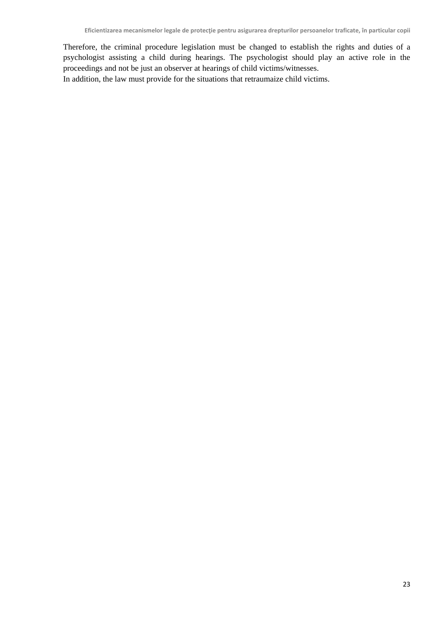Therefore, the criminal procedure legislation must be changed to establish the rights and duties of a psychologist assisting a child during hearings. The psychologist should play an active role in the proceedings and not be just an observer at hearings of child victims/witnesses.

In addition, the law must provide for the situations that retraumaize child victims.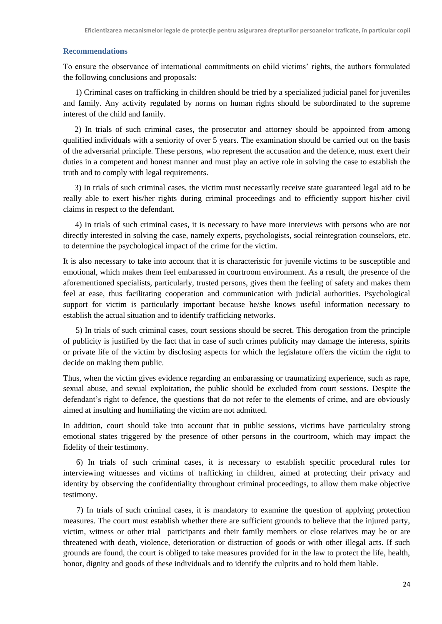#### <span id="page-26-0"></span>**Recommendations**

To ensure the observance of international commitments on child victims' rights, the authors formulated the following conclusions and proposals:

1) Criminal cases on trafficking in children should be tried by a specialized judicial panel for juveniles and family. Any activity regulated by norms on human rights should be subordinated to the supreme interest of the child and family.

2) In trials of such criminal cases, the prosecutor and attorney should be appointed from among qualified individuals with a seniority of over 5 years. The examination should be carried out on the basis of the adversarial principle. These persons, who represent the accusation and the defence, must exert their duties in a competent and honest manner and must play an active role in solving the case to establish the truth and to comply with legal requirements.

3) In trials of such criminal cases, the victim must necessarily receive state guaranteed legal aid to be really able to exert his/her rights during criminal proceedings and to efficiently support his/her civil claims in respect to the defendant.

4) In trials of such criminal cases, it is necessary to have more interviews with persons who are not directly interested in solving the case, namely experts, psychologists, social reintegration counselors, etc. to determine the psychological impact of the crime for the victim.

It is also necessary to take into account that it is characteristic for juvenile victims to be susceptible and emotional, which makes them feel embarassed in courtroom environment. As a result, the presence of the aforementioned specialists, particularly, trusted persons, gives them the feeling of safety and makes them feel at ease, thus facilitating cooperation and communication with judicial authorities. Psychological support for victim is particularly important because he/she knows useful information necessary to establish the actual situation and to identify trafficking networks.

5) In trials of such criminal cases, court sessions should be secret. This derogation from the principle of publicity is justified by the fact that in case of such crimes publicity may damage the interests, spirits or private life of the victim by disclosing aspects for which the legislature offers the victim the right to decide on making them public.

Thus, when the victim gives evidence regarding an embarassing or traumatizing experience, such as rape, sexual abuse, and sexual exploitation, the public should be excluded from court sessions. Despite the defendant's right to defence, the questions that do not refer to the elements of crime, and are obviously aimed at insulting and humiliating the victim are not admitted.

In addition, court should take into account that in public sessions, victims have particulalry strong emotional states triggered by the presence of other persons in the courtroom, which may impact the fidelity of their testimony.

6) In trials of such criminal cases, it is necessary to establish specific procedural rules for interviewing witnesses and victims of trafficking in children, aimed at protecting their privacy and identity by observing the confidentiality throughout criminal proceedings, to allow them make objective testimony.

7) In trials of such criminal cases, it is mandatory to examine the question of applying protection measures. The court must establish whether there are sufficient grounds to believe that the injured party, victim, witness or other trial participants and their family members or close relatives may be or are threatened with death, violence, deterioration or distruction of goods or with other illegal acts. If such grounds are found, the court is obliged to take measures provided for in the law to protect the life, health, honor, dignity and goods of these individuals and to identify the culprits and to hold them liable.